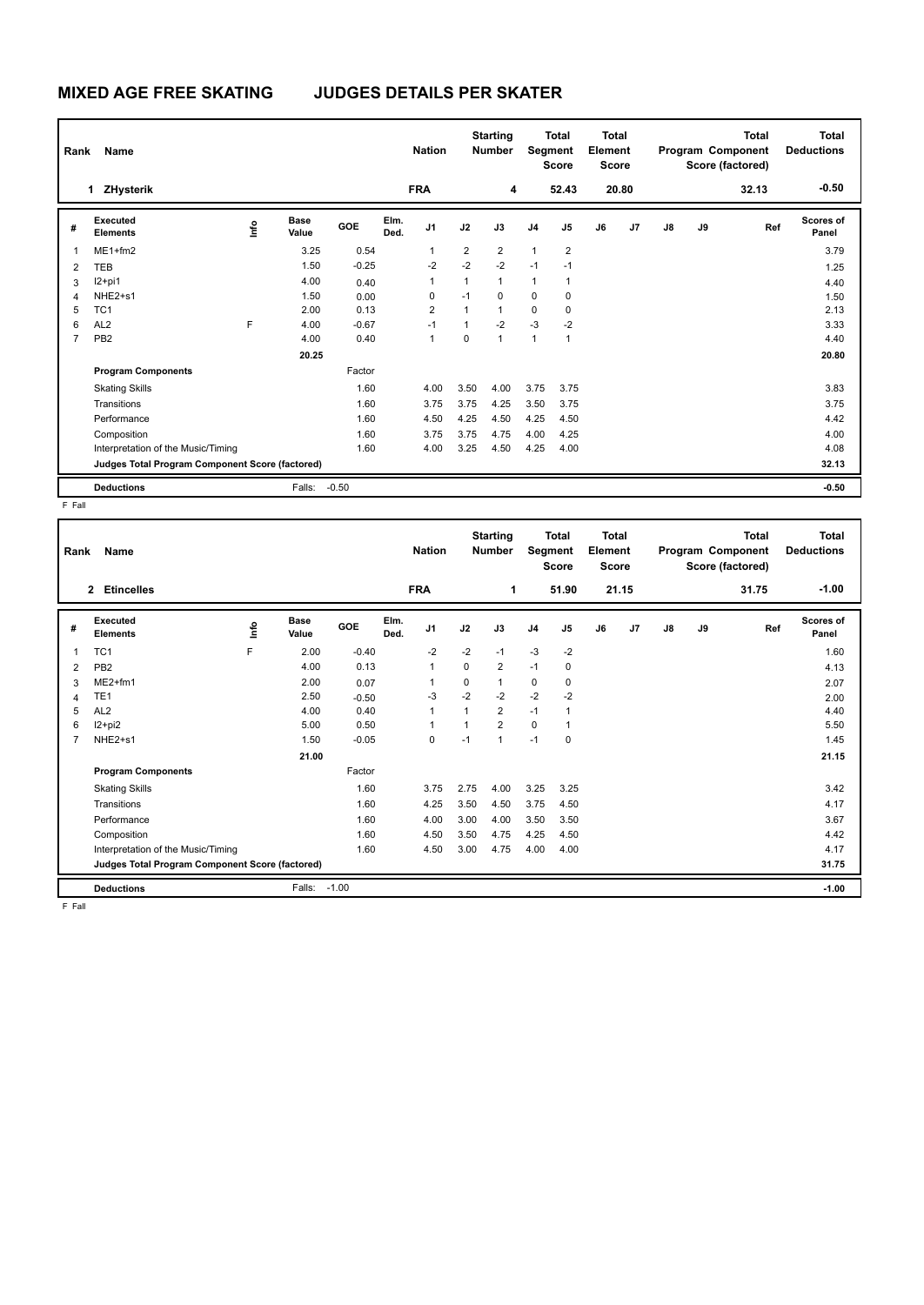## **MIXED AGE FREE SKATING JUDGES DETAILS PER SKATER**

| Name<br>Rank                                    |                                    |      |                      |         | <b>Nation</b> |                | <b>Starting</b><br><b>Number</b> |                | <b>Total</b><br>Segment<br><b>Score</b> |                | <b>Total</b><br>Element<br><b>Score</b> |       | <b>Total</b><br>Program Component<br>Score (factored) |       |       | Total<br><b>Deductions</b> |
|-------------------------------------------------|------------------------------------|------|----------------------|---------|---------------|----------------|----------------------------------|----------------|-----------------------------------------|----------------|-----------------------------------------|-------|-------------------------------------------------------|-------|-------|----------------------------|
|                                                 | <b>ZHysterik</b><br>1.             |      |                      |         |               | <b>FRA</b>     |                                  | 4              |                                         | 52.43          |                                         | 20.80 |                                                       |       | 32.13 | $-0.50$                    |
| #                                               | Executed<br><b>Elements</b>        | lnfo | <b>Base</b><br>Value | GOE     | Elm.<br>Ded.  | J1             | J2                               | J3             | J <sub>4</sub>                          | J <sub>5</sub> | J6                                      | J7    | J8                                                    | J9    | Ref   | <b>Scores of</b><br>Panel  |
| 1                                               | $ME1 + fm2$                        |      | 3.25                 | 0.54    |               | 1              | $\overline{2}$                   | $\overline{2}$ | $\mathbf{1}$                            | $\overline{2}$ |                                         |       |                                                       |       |       | 3.79                       |
| 2                                               | TEB                                |      | 1.50                 | $-0.25$ |               | $-2$           | $-2$                             | $-2$           | $-1$                                    | $-1$           |                                         |       |                                                       |       |       | 1.25                       |
| 3                                               | $12+pi1$                           |      | 4.00                 | 0.40    |               | 1              | $\mathbf{1}$                     | 1              | 1                                       | 1              |                                         |       |                                                       |       |       | 4.40                       |
| 4                                               | NHE2+s1                            |      | 1.50                 | 0.00    |               | 0              | $-1$                             | $\mathbf 0$    | 0                                       | 0              |                                         |       |                                                       |       |       | 1.50                       |
| 5                                               | TC <sub>1</sub>                    |      | 2.00                 | 0.13    |               | $\overline{2}$ | $\mathbf{1}$                     | $\mathbf{1}$   | $\mathbf 0$                             | $\mathbf 0$    |                                         |       |                                                       |       |       | 2.13                       |
| 6                                               | AL <sub>2</sub>                    | F    | 4.00                 | $-0.67$ |               | $-1$           | 1                                | $-2$           | $-3$                                    | $-2$           |                                         |       |                                                       |       |       | 3.33                       |
| 7                                               | PB <sub>2</sub>                    |      | 4.00                 | 0.40    |               | 1              | 0                                | $\mathbf{1}$   | 1                                       | 1              |                                         |       |                                                       |       |       | 4.40                       |
|                                                 |                                    |      | 20.25                |         |               |                |                                  |                |                                         |                |                                         |       |                                                       |       |       | 20.80                      |
|                                                 | <b>Program Components</b>          |      |                      | Factor  |               |                |                                  |                |                                         |                |                                         |       |                                                       |       |       |                            |
|                                                 | <b>Skating Skills</b>              |      |                      | 1.60    |               | 4.00           | 3.50                             | 4.00           | 3.75                                    | 3.75           |                                         |       |                                                       |       |       | 3.83                       |
|                                                 | Transitions                        |      |                      | 1.60    |               | 3.75           | 3.75                             | 4.25           | 3.50                                    | 3.75           |                                         |       |                                                       |       |       | 3.75                       |
|                                                 | Performance                        |      |                      | 1.60    |               | 4.50           | 4.25                             | 4.50           | 4.25                                    | 4.50           |                                         |       |                                                       |       |       | 4.42                       |
|                                                 | Composition                        |      |                      | 1.60    |               | 3.75           | 3.75                             | 4.75           | 4.00                                    | 4.25           |                                         |       |                                                       |       |       | 4.00                       |
|                                                 | Interpretation of the Music/Timing |      |                      | 1.60    |               | 4.00           | 3.25                             | 4.50           | 4.25                                    | 4.00           |                                         |       |                                                       |       |       | 4.08                       |
| Judges Total Program Component Score (factored) |                                    |      |                      |         |               |                |                                  |                |                                         |                |                                         |       |                                                       | 32.13 |       |                            |
|                                                 | <b>Deductions</b>                  |      | Falls:               | $-0.50$ |               |                |                                  |                |                                         |                |                                         |       |                                                       |       |       | $-0.50$                    |

F Fall

| Name<br>Rank                                    |                                    |    |                      |         |              | <b>Nation</b>  |          | <b>Starting</b><br><b>Number</b> |                | <b>Total</b><br>Segment<br><b>Score</b> |    | <b>Total</b><br>Element<br><b>Score</b> |       |    | <b>Total</b><br>Program Component<br>Score (factored) | Total<br><b>Deductions</b> |
|-------------------------------------------------|------------------------------------|----|----------------------|---------|--------------|----------------|----------|----------------------------------|----------------|-----------------------------------------|----|-----------------------------------------|-------|----|-------------------------------------------------------|----------------------------|
|                                                 | <b>Etincelles</b><br>$\mathbf{2}$  |    |                      |         |              | <b>FRA</b>     |          | 1                                |                | 51.90                                   |    | 21.15                                   |       |    | 31.75                                                 | $-1.00$                    |
| #                                               | Executed<br><b>Elements</b>        | ١m | <b>Base</b><br>Value | GOE     | Elm.<br>Ded. | J <sub>1</sub> | J2       | J3                               | J <sub>4</sub> | J <sub>5</sub>                          | J6 | J7                                      | J8    | J9 | Ref                                                   | Scores of<br>Panel         |
| 1                                               | TC <sub>1</sub>                    | F  | 2.00                 | $-0.40$ |              | $-2$           | $-2$     | $-1$                             | $-3$           | $-2$                                    |    |                                         |       |    |                                                       | 1.60                       |
| 2                                               | PB <sub>2</sub>                    |    | 4.00                 | 0.13    |              | $\mathbf{1}$   | $\Omega$ | $\overline{2}$                   | $-1$           | $\mathbf 0$                             |    |                                         |       |    |                                                       | 4.13                       |
| 3                                               | $ME2+fm1$                          |    | 2.00                 | 0.07    |              | $\mathbf{1}$   | 0        | 1                                | $\mathbf 0$    | 0                                       |    |                                         |       |    |                                                       | 2.07                       |
| 4                                               | TE <sub>1</sub>                    |    | 2.50                 | $-0.50$ |              | $-3$           | $-2$     | $-2$                             | $-2$           | $-2$                                    |    |                                         |       |    |                                                       | 2.00                       |
| 5                                               | AL <sub>2</sub>                    |    | 4.00                 | 0.40    |              | $\mathbf{1}$   |          | $\overline{2}$                   | $-1$           | $\overline{1}$                          |    |                                         |       |    |                                                       | 4.40                       |
| 6                                               | $12+pi2$                           |    | 5.00                 | 0.50    |              | $\mathbf{1}$   |          | $\overline{2}$                   | $\mathbf 0$    | 1                                       |    |                                         |       |    |                                                       | 5.50                       |
| 7                                               | NHE2+s1                            |    | 1.50                 | $-0.05$ |              | 0              | $-1$     | $\mathbf{1}$                     | $-1$           | 0                                       |    |                                         |       |    |                                                       | 1.45                       |
|                                                 |                                    |    | 21.00                |         |              |                |          |                                  |                |                                         |    |                                         |       |    |                                                       | 21.15                      |
|                                                 | <b>Program Components</b>          |    |                      | Factor  |              |                |          |                                  |                |                                         |    |                                         |       |    |                                                       |                            |
|                                                 | <b>Skating Skills</b>              |    |                      | 1.60    |              | 3.75           | 2.75     | 4.00                             | 3.25           | 3.25                                    |    |                                         |       |    |                                                       | 3.42                       |
|                                                 | Transitions                        |    |                      | 1.60    |              | 4.25           | 3.50     | 4.50                             | 3.75           | 4.50                                    |    |                                         |       |    |                                                       | 4.17                       |
|                                                 | Performance                        |    |                      | 1.60    |              | 4.00           | 3.00     | 4.00                             | 3.50           | 3.50                                    |    |                                         |       |    |                                                       | 3.67                       |
|                                                 | Composition                        |    |                      | 1.60    |              | 4.50           | 3.50     | 4.75                             | 4.25           | 4.50                                    |    |                                         |       |    |                                                       | 4.42                       |
|                                                 | Interpretation of the Music/Timing |    |                      | 1.60    |              | 4.50           | 3.00     | 4.75                             | 4.00           | 4.00                                    |    |                                         |       |    |                                                       | 4.17                       |
| Judges Total Program Component Score (factored) |                                    |    |                      |         |              |                |          |                                  |                |                                         |    |                                         | 31.75 |    |                                                       |                            |
|                                                 | <b>Deductions</b>                  |    | Falls:               | $-1.00$ |              |                |          |                                  |                |                                         |    |                                         |       |    |                                                       | $-1.00$                    |
| E. Foll                                         |                                    |    |                      |         |              |                |          |                                  |                |                                         |    |                                         |       |    |                                                       |                            |

F Fall